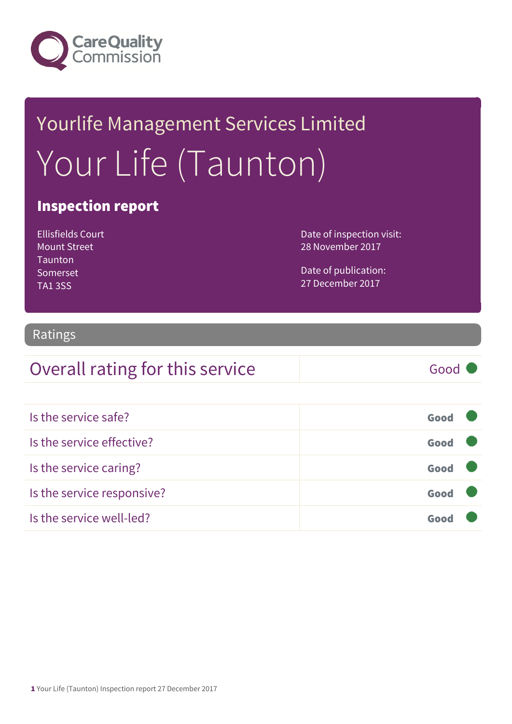

# Yourlife Management Services Limited Your Life (Taunton)

#### Inspection report

Ellisfields Court Mount Street **Taunton** Somerset TA1 3SS

Date of inspection visit: 28 November 2017

Date of publication: 27 December 2017

#### Ratings

#### Overall rating for this service Good

| Is the service safe?       | Good |  |
|----------------------------|------|--|
| Is the service effective?  | Good |  |
| Is the service caring?     | Good |  |
| Is the service responsive? | Good |  |
| Is the service well-led?   |      |  |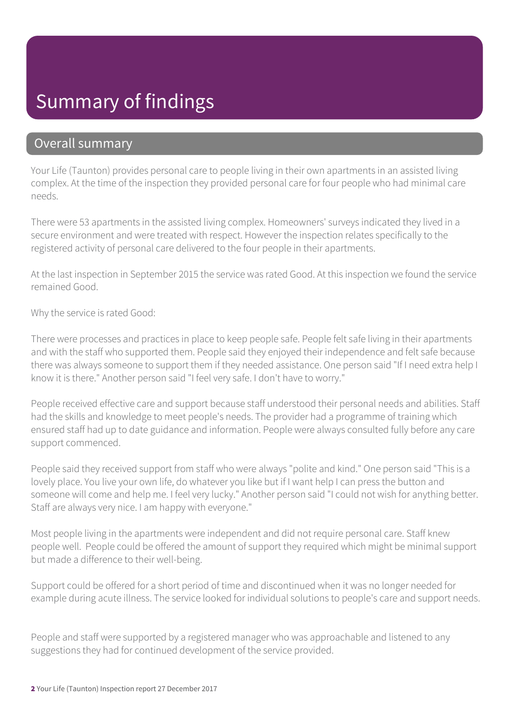### Summary of findings

#### Overall summary

Your Life (Taunton) provides personal care to people living in their own apartments in an assisted living complex. At the time of the inspection they provided personal care for four people who had minimal care needs.

There were 53 apartments in the assisted living complex. Homeowners' surveys indicated they lived in a secure environment and were treated with respect. However the inspection relates specifically to the registered activity of personal care delivered to the four people in their apartments.

At the last inspection in September 2015 the service was rated Good. At this inspection we found the service remained Good.

Why the service is rated Good:

There were processes and practices in place to keep people safe. People felt safe living in their apartments and with the staff who supported them. People said they enjoyed their independence and felt safe because there was always someone to support them if they needed assistance. One person said "If I need extra help I know it is there." Another person said "I feel very safe. I don't have to worry."

People received effective care and support because staff understood their personal needs and abilities. Staff had the skills and knowledge to meet people's needs. The provider had a programme of training which ensured staff had up to date guidance and information. People were always consulted fully before any care support commenced.

People said they received support from staff who were always "polite and kind." One person said "This is a lovely place. You live your own life, do whatever you like but if I want help I can press the button and someone will come and help me. I feel very lucky." Another person said "I could not wish for anything better. Staff are always very nice. I am happy with everyone."

Most people living in the apartments were independent and did not require personal care. Staff knew people well. People could be offered the amount of support they required which might be minimal support but made a difference to their well-being.

Support could be offered for a short period of time and discontinued when it was no longer needed for example during acute illness. The service looked for individual solutions to people's care and support needs.

People and staff were supported by a registered manager who was approachable and listened to any suggestions they had for continued development of the service provided.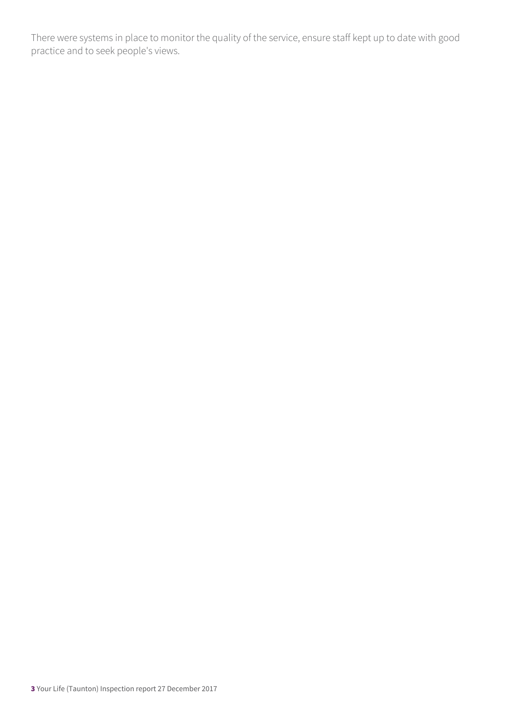There were systems in place to monitor the quality of the service, ensure staff kept up to date with good practice and to seek people's views.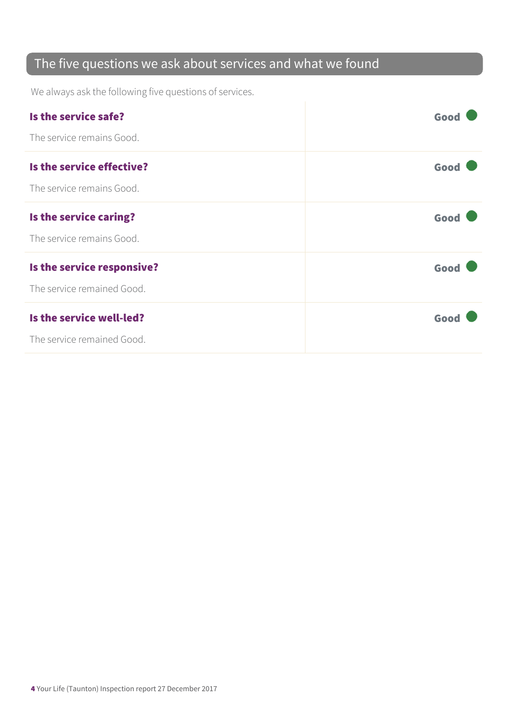#### The five questions we ask about services and what we found

We always ask the following five questions of services.

| Is the service safe?       | Good |
|----------------------------|------|
| The service remains Good.  |      |
| Is the service effective?  | Good |
| The service remains Good.  |      |
| Is the service caring?     | Good |
| The service remains Good.  |      |
| Is the service responsive? | Good |
| The service remained Good. |      |
| Is the service well-led?   | Good |
| The service remained Good. |      |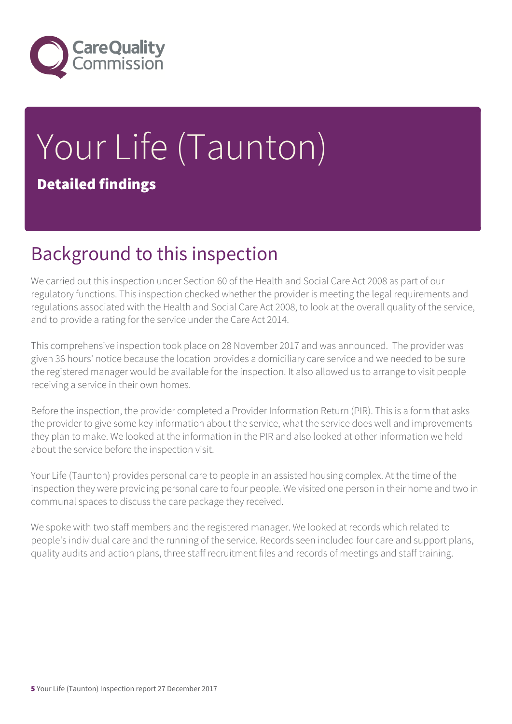

# Your Life (Taunton) Detailed findings

### Background to this inspection

We carried out this inspection under Section 60 of the Health and Social Care Act 2008 as part of our regulatory functions. This inspection checked whether the provider is meeting the legal requirements and regulations associated with the Health and Social Care Act 2008, to look at the overall quality of the service, and to provide a rating for the service under the Care Act 2014.

This comprehensive inspection took place on 28 November 2017 and was announced. The provider was given 36 hours' notice because the location provides a domiciliary care service and we needed to be sure the registered manager would be available for the inspection. It also allowed us to arrange to visit people receiving a service in their own homes.

Before the inspection, the provider completed a Provider Information Return (PIR). This is a form that asks the provider to give some key information about the service, what the service does well and improvements they plan to make. We looked at the information in the PIR and also looked at other information we held about the service before the inspection visit.

Your Life (Taunton) provides personal care to people in an assisted housing complex. At the time of the inspection they were providing personal care to four people. We visited one person in their home and two in communal spaces to discuss the care package they received.

We spoke with two staff members and the registered manager. We looked at records which related to people's individual care and the running of the service. Records seen included four care and support plans, quality audits and action plans, three staff recruitment files and records of meetings and staff training.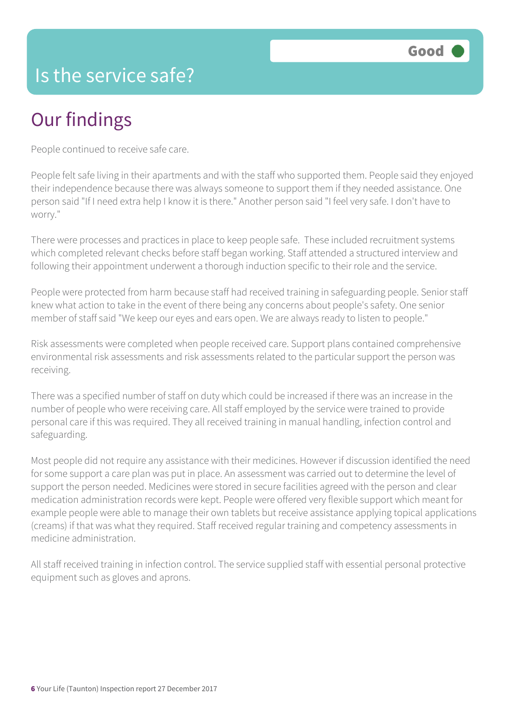

#### Is the service safe?

### Our findings

People continued to receive safe care.

People felt safe living in their apartments and with the staff who supported them. People said they enjoyed their independence because there was always someone to support them if they needed assistance. One person said "If I need extra help I know it is there." Another person said "I feel very safe. I don't have to worry."

There were processes and practices in place to keep people safe. These included recruitment systems which completed relevant checks before staff began working. Staff attended a structured interview and following their appointment underwent a thorough induction specific to their role and the service.

People were protected from harm because staff had received training in safeguarding people. Senior staff knew what action to take in the event of there being any concerns about people's safety. One senior member of staff said "We keep our eyes and ears open. We are always ready to listen to people."

Risk assessments were completed when people received care. Support plans contained comprehensive environmental risk assessments and risk assessments related to the particular support the person was receiving.

There was a specified number of staff on duty which could be increased if there was an increase in the number of people who were receiving care. All staff employed by the service were trained to provide personal care if this was required. They all received training in manual handling, infection control and safeguarding.

Most people did not require any assistance with their medicines. However if discussion identified the need for some support a care plan was put in place. An assessment was carried out to determine the level of support the person needed. Medicines were stored in secure facilities agreed with the person and clear medication administration records were kept. People were offered very flexible support which meant for example people were able to manage their own tablets but receive assistance applying topical applications (creams) if that was what they required. Staff received regular training and competency assessments in medicine administration.

All staff received training in infection control. The service supplied staff with essential personal protective equipment such as gloves and aprons.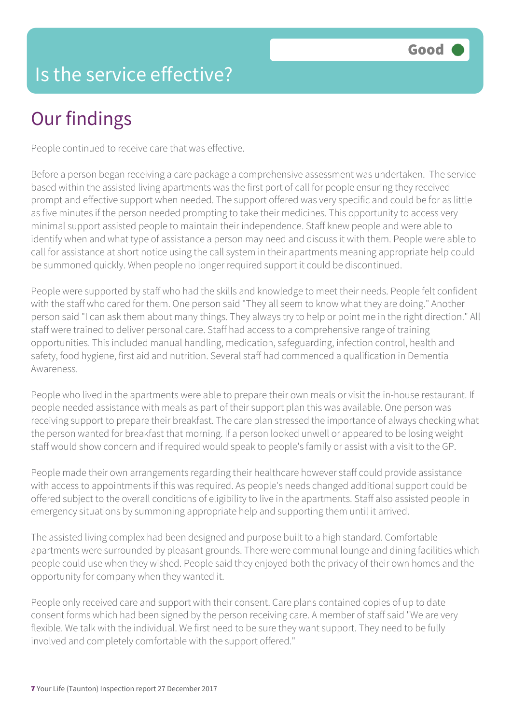### Is the service effective?

# Our findings

People continued to receive care that was effective.

Before a person began receiving a care package a comprehensive assessment was undertaken. The service based within the assisted living apartments was the first port of call for people ensuring they received prompt and effective support when needed. The support offered was very specific and could be for as little as five minutes if the person needed prompting to take their medicines. This opportunity to access very minimal support assisted people to maintain their independence. Staff knew people and were able to identify when and what type of assistance a person may need and discuss it with them. People were able to call for assistance at short notice using the call system in their apartments meaning appropriate help could be summoned quickly. When people no longer required support it could be discontinued.

People were supported by staff who had the skills and knowledge to meet their needs. People felt confident with the staff who cared for them. One person said "They all seem to know what they are doing." Another person said "I can ask them about many things. They always try to help or point me in the right direction." All staff were trained to deliver personal care. Staff had access to a comprehensive range of training opportunities. This included manual handling, medication, safeguarding, infection control, health and safety, food hygiene, first aid and nutrition. Several staff had commenced a qualification in Dementia Awareness.

People who lived in the apartments were able to prepare their own meals or visit the in-house restaurant. If people needed assistance with meals as part of their support plan this was available. One person was receiving support to prepare their breakfast. The care plan stressed the importance of always checking what the person wanted for breakfast that morning. If a person looked unwell or appeared to be losing weight staff would show concern and if required would speak to people's family or assist with a visit to the GP.

People made their own arrangements regarding their healthcare however staff could provide assistance with access to appointments if this was required. As people's needs changed additional support could be offered subject to the overall conditions of eligibility to live in the apartments. Staff also assisted people in emergency situations by summoning appropriate help and supporting them until it arrived.

The assisted living complex had been designed and purpose built to a high standard. Comfortable apartments were surrounded by pleasant grounds. There were communal lounge and dining facilities which people could use when they wished. People said they enjoyed both the privacy of their own homes and the opportunity for company when they wanted it.

People only received care and support with their consent. Care plans contained copies of up to date consent forms which had been signed by the person receiving care. A member of staff said "We are very flexible. We talk with the individual. We first need to be sure they want support. They need to be fully involved and completely comfortable with the support offered."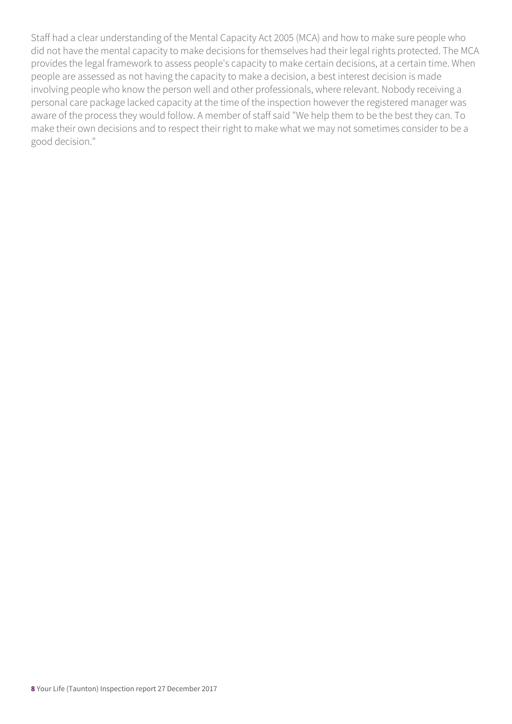Staff had a clear understanding of the Mental Capacity Act 2005 (MCA) and how to make sure people who did not have the mental capacity to make decisions for themselves had their legal rights protected. The MCA provides the legal framework to assess people's capacity to make certain decisions, at a certain time. When people are assessed as not having the capacity to make a decision, a best interest decision is made involving people who know the person well and other professionals, where relevant. Nobody receiving a personal care package lacked capacity at the time of the inspection however the registered manager was aware of the process they would follow. A member of staff said "We help them to be the best they can. To make their own decisions and to respect their right to make what we may not sometimes consider to be a good decision."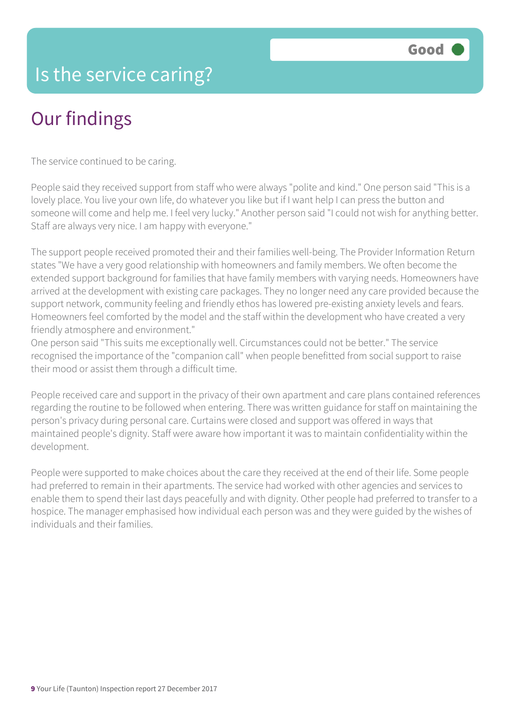#### Is the service caring?

# Our findings

The service continued to be caring.

People said they received support from staff who were always "polite and kind." One person said "This is a lovely place. You live your own life, do whatever you like but if I want help I can press the button and someone will come and help me. I feel very lucky." Another person said "I could not wish for anything better. Staff are always very nice. I am happy with everyone."

The support people received promoted their and their families well-being. The Provider Information Return states "We have a very good relationship with homeowners and family members. We often become the extended support background for families that have family members with varying needs. Homeowners have arrived at the development with existing care packages. They no longer need any care provided because the support network, community feeling and friendly ethos has lowered pre-existing anxiety levels and fears. Homeowners feel comforted by the model and the staff within the development who have created a very friendly atmosphere and environment."

One person said "This suits me exceptionally well. Circumstances could not be better." The service recognised the importance of the "companion call" when people benefitted from social support to raise their mood or assist them through a difficult time.

People received care and support in the privacy of their own apartment and care plans contained references regarding the routine to be followed when entering. There was written guidance for staff on maintaining the person's privacy during personal care. Curtains were closed and support was offered in ways that maintained people's dignity. Staff were aware how important it was to maintain confidentiality within the development.

People were supported to make choices about the care they received at the end of their life. Some people had preferred to remain in their apartments. The service had worked with other agencies and services to enable them to spend their last days peacefully and with dignity. Other people had preferred to transfer to a hospice. The manager emphasised how individual each person was and they were guided by the wishes of individuals and their families.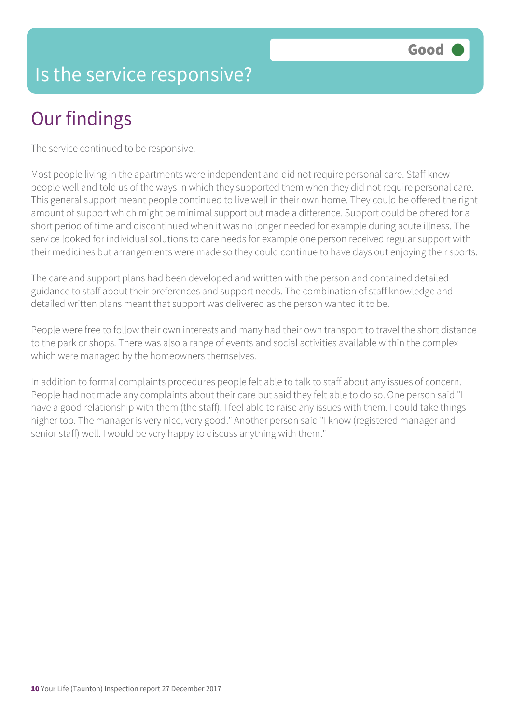#### Is the service responsive?

# Our findings

The service continued to be responsive.

Most people living in the apartments were independent and did not require personal care. Staff knew people well and told us of the ways in which they supported them when they did not require personal care. This general support meant people continued to live well in their own home. They could be offered the right amount of support which might be minimal support but made a difference. Support could be offered for a short period of time and discontinued when it was no longer needed for example during acute illness. The service looked for individual solutions to care needs for example one person received regular support with their medicines but arrangements were made so they could continue to have days out enjoying their sports.

The care and support plans had been developed and written with the person and contained detailed guidance to staff about their preferences and support needs. The combination of staff knowledge and detailed written plans meant that support was delivered as the person wanted it to be.

People were free to follow their own interests and many had their own transport to travel the short distance to the park or shops. There was also a range of events and social activities available within the complex which were managed by the homeowners themselves.

In addition to formal complaints procedures people felt able to talk to staff about any issues of concern. People had not made any complaints about their care but said they felt able to do so. One person said "I have a good relationship with them (the staff). I feel able to raise any issues with them. I could take things higher too. The manager is very nice, very good." Another person said "I know (registered manager and senior staff) well. I would be very happy to discuss anything with them."